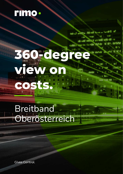

# **360-degree view on costs.**

befould seeking defense for an au- family fi-

经回

## Breitband Oberösterreich

**Gives Control.**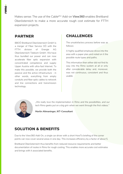Makes sense: The use of the *Cableplus* Add-on **View360** enables Breitband Oberösterreich to make a more accurate rough cost estimate for FTTH expansion projects.

#### **PARTNER**

BBOÖ Breitband Oberösterreich GmbH is a merger of Fiber Service OÖ with the FTTH division of Energie AG Oberösterreich Telekom GmbH. We have thus bundled our power and can now accelerate fiber optic expansion with concentrated competence and supply Upper Austria with ultra-fast Internet. To make this possible, we provide both the passive and the active infrastructure - in other words, everything from empty conduits and fiber optic cables to network and line connections and transmission technology.

#### **CHALLENGES**

The unsatisfactory process before was as follows:

A highly qualified employee drove into the area with a paper plan and noted on it the possible route types and paths.

This information then either did not find its way into the Rimo system at all or only after considerable delay and, moreover, was not continuous, consistent and thus usable.



*"We really love the implementation in Rimo and the possibilities, and our tech Rimo geeks put on a big grin when we went through the first videos."*

**Martin Altmaninger, IKT-Consultant**

### **SOLUTION & BENEFITS**

Due to the View360 Add-On, a single car driver with a short HowTo briefing of the corner points can now cover several areas in one day. This increases efficiency by a factor of about 5.

Breitband Oberösterreich thus benefits from reduced resource requirements and better documentation of routes in Rimo for rough costing. This enables more accurate cost estimates and brings with it associated benefits.